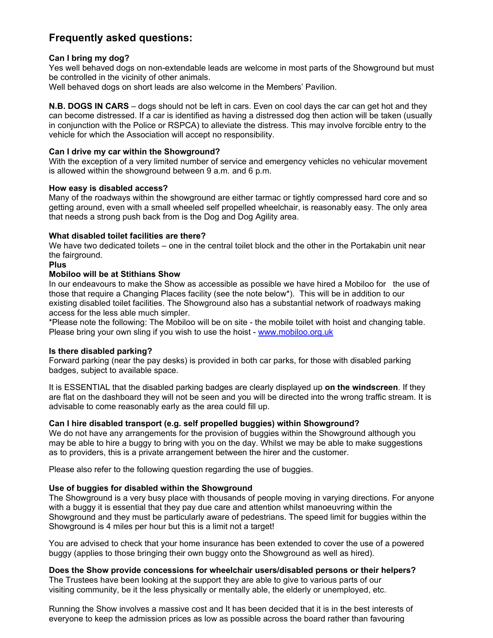# **Frequently asked questions:**

# **Can I bring my dog?**

Yes well behaved dogs on non-extendable leads are welcome in most parts of the Showground but must be controlled in the vicinity of other animals.

Well behaved dogs on short leads are also welcome in the Members' Pavilion.

**N.B. DOGS IN CARS** – dogs should not be left in cars. Even on cool days the car can get hot and they can become distressed. If a car is identified as having a distressed dog then action will be taken (usually in conjunction with the Police or RSPCA) to alleviate the distress. This may involve forcible entry to the vehicle for which the Association will accept no responsibility.

## **Can I drive my car within the Showground?**

With the exception of a very limited number of service and emergency vehicles no vehicular movement is allowed within the showground between 9 a.m. and 6 p.m.

## **How easy is disabled access?**

Many of the roadways within the showground are either tarmac or tightly compressed hard core and so getting around, even with a small wheeled self propelled wheelchair, is reasonably easy. The only area that needs a strong push back from is the Dog and Dog Agility area.

# **What disabled toilet facilities are there?**

We have two dedicated toilets – one in the central toilet block and the other in the Portakabin unit near the fairground.

## **Plus**

## **Mobiloo will be at Stithians Show**

In our endeavours to make the Show as accessible as possible we have hired a Mobiloo for the use of those that require a Changing Places facility (see the note below\*). This will be in addition to our existing disabled toilet facilities. The Showground also has a substantial network of roadways making access for the less able much simpler.

\*Please note the following: The Mobiloo will be on site - the mobile toilet with hoist and changing table. Please bring your own sling if you wish to use the hoist - www.mobiloo.org.uk

## **Is there disabled parking?**

Forward parking (near the pay desks) is provided in both car parks, for those with disabled parking badges, subject to available space.

It is ESSENTIAL that the disabled parking badges are clearly displayed up **on the windscreen**. If they are flat on the dashboard they will not be seen and you will be directed into the wrong traffic stream. It is advisable to come reasonably early as the area could fill up.

## **Can I hire disabled transport (e.g. self propelled buggies) within Showground?**

We do not have any arrangements for the provision of buggies within the Showground although you may be able to hire a buggy to bring with you on the day. Whilst we may be able to make suggestions as to providers, this is a private arrangement between the hirer and the customer.

Please also refer to the following question regarding the use of buggies.

## **Use of buggies for disabled within the Showground**

The Showground is a very busy place with thousands of people moving in varying directions. For anyone with a buggy it is essential that they pay due care and attention whilst manoeuvring within the Showground and they must be particularly aware of pedestrians. The speed limit for buggies within the Showground is 4 miles per hour but this is a limit not a target!

You are advised to check that your home insurance has been extended to cover the use of a powered buggy (applies to those bringing their own buggy onto the Showground as well as hired).

**Does the Show provide concessions for wheelchair users/disabled persons or their helpers?** 

The Trustees have been looking at the support they are able to give to various parts of our visiting community, be it the less physically or mentally able, the elderly or unemployed, etc.

Running the Show involves a massive cost and It has been decided that it is in the best interests of everyone to keep the admission prices as low as possible across the board rather than favouring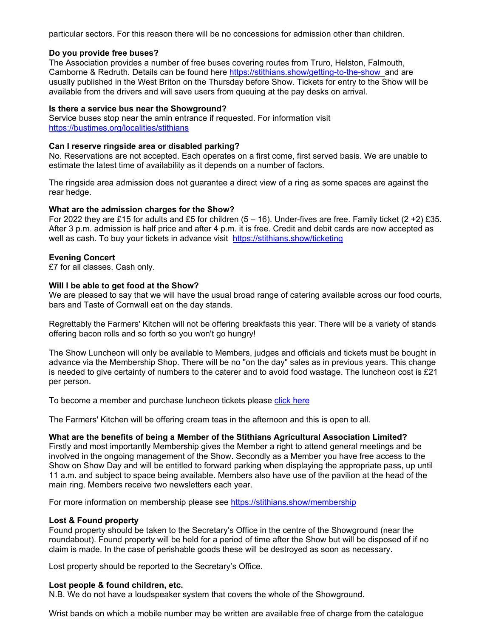particular sectors. For this reason there will be no concessions for admission other than children.

#### **Do you provide free buses?**

The Association provides a number of free buses covering routes from Truro, Helston, Falmouth, Camborne & Redruth. Details can be found here https://stithians.show/getting-to-the-show and are usually published in the West Briton on the Thursday before Show. Tickets for entry to the Show will be available from the drivers and will save users from queuing at the pay desks on arrival.

#### **Is there a service bus near the Showground?**

Service buses stop near the amin entrance if requested. For information visit https://bustimes.org/localities/stithians

#### **Can I reserve ringside area or disabled parking?**

No. Reservations are not accepted. Each operates on a first come, first served basis. We are unable to estimate the latest time of availability as it depends on a number of factors.

The ringside area admission does not guarantee a direct view of a ring as some spaces are against the rear hedge.

#### **What are the admission charges for the Show?**

For 2022 they are £15 for adults and £5 for children (5 – 16). Under-fives are free. Family ticket (2 +2) £35. After 3 p.m. admission is half price and after 4 p.m. it is free. Credit and debit cards are now accepted as well as cash. To buy your tickets in advance visit https://stithians.show/ticketing

## **Evening Concert**

£7 for all classes. Cash only.

#### **Will I be able to get food at the Show?**

We are pleased to say that we will have the usual broad range of catering available across our food courts, bars and Taste of Cornwall eat on the day stands.

Regrettably the Farmers' Kitchen will not be offering breakfasts this year. There will be a variety of stands offering bacon rolls and so forth so you won't go hungry!

The Show Luncheon will only be available to Members, judges and officials and tickets must be bought in advance via the Membership Shop. There will be no "on the day" sales as in previous years. This change is needed to give certainty of numbers to the caterer and to avoid food wastage. The luncheon cost is  $£21$ per person.

To become a member and purchase luncheon tickets please click here

The Farmers' Kitchen will be offering cream teas in the afternoon and this is open to all.

## **What are the benefits of being a Member of the Stithians Agricultural Association Limited?**

Firstly and most importantly Membership gives the Member a right to attend general meetings and be involved in the ongoing management of the Show. Secondly as a Member you have free access to the Show on Show Day and will be entitled to forward parking when displaying the appropriate pass, up until 11 a.m. and subject to space being available. Members also have use of the pavilion at the head of the main ring. Members receive two newsletters each year.

For more information on membership please see https://stithians.show/membership

## **Lost & Found property**

Found property should be taken to the Secretary's Office in the centre of the Showground (near the roundabout). Found property will be held for a period of time after the Show but will be disposed of if no claim is made. In the case of perishable goods these will be destroyed as soon as necessary.

Lost property should be reported to the Secretary's Office.

#### **Lost people & found children, etc.**

N.B. We do not have a loudspeaker system that covers the whole of the Showground.

Wrist bands on which a mobile number may be written are available free of charge from the catalogue